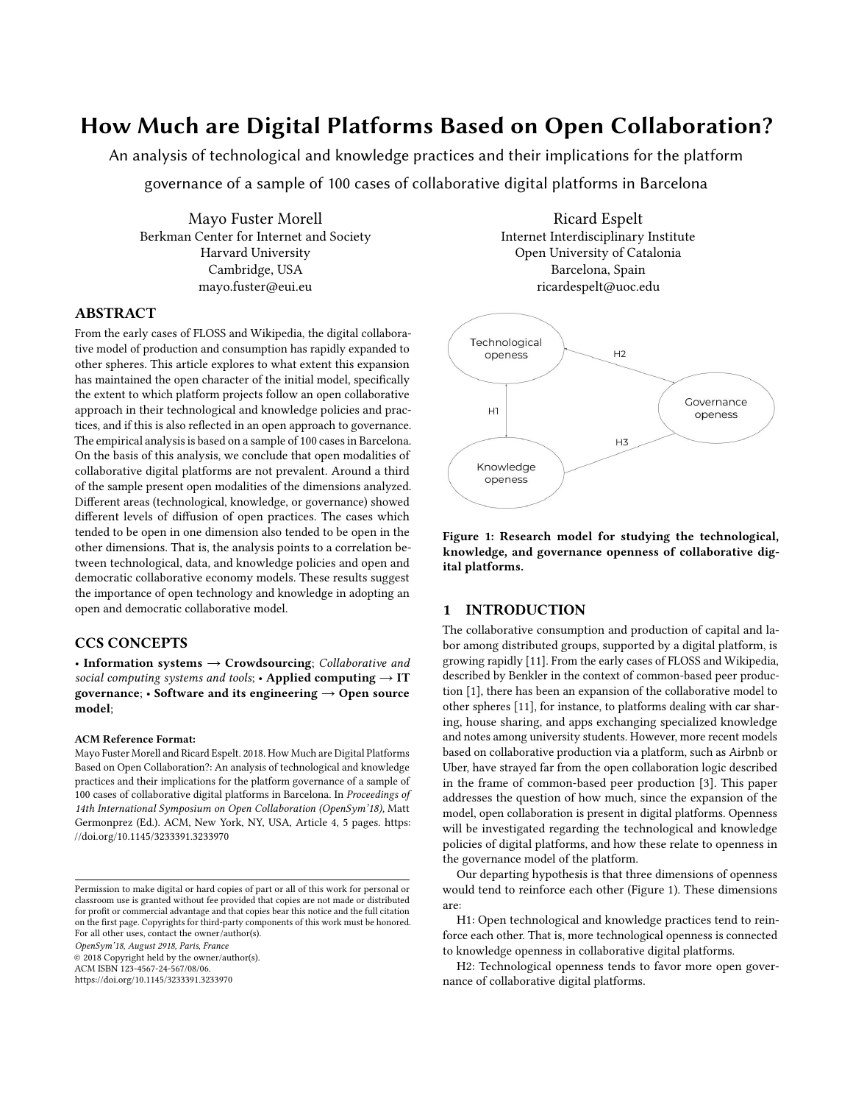# How Much are Digital Platforms Based on Open Collaboration?

An analysis of technological and knowledge practices and their implications for the platform governance of a sample of 100 cases of collaborative digital platforms in Barcelona

Mayo Fuster Morell Berkman Center for Internet and Society Harvard University Cambridge, USA mayo.fuster@eui.eu

# ABSTRACT

From the early cases of FLOSS and Wikipedia, the digital collaborative model of production and consumption has rapidly expanded to other spheres. This article explores to what extent this expansion has maintained the open character of the initial model, specifically the extent to which platform projects follow an open collaborative approach in their technological and knowledge policies and practices, and if this is also reflected in an open approach to governance. The empirical analysis is based on a sample of 100 cases in Barcelona. On the basis of this analysis, we conclude that open modalities of collaborative digital platforms are not prevalent. Around a third of the sample present open modalities of the dimensions analyzed. Different areas (technological, knowledge, or governance) showed different levels of diffusion of open practices. The cases which tended to be open in one dimension also tended to be open in the other dimensions. That is, the analysis points to a correlation between technological, data, and knowledge policies and open and democratic collaborative economy models. These results suggest the importance of open technology and knowledge in adopting an open and democratic collaborative model.

## CCS CONCEPTS

• Information systems  $\rightarrow$  Crowdsourcing; Collaborative and social computing systems and tools; • Applied computing  $\rightarrow$  IT governance;  $\cdot$  Software and its engineering  $\rightarrow$  Open source model;

#### ACM Reference Format:

Mayo Fuster Morell and Ricard Espelt. 2018. How Much are Digital Platforms Based on Open Collaboration?: An analysis of technological and knowledge practices and their implications for the platform governance of a sample of 100 cases of collaborative digital platforms in Barcelona. In Proceedings of 14th International Symposium on Open Collaboration (OpenSym'18), Matt Germonprez (Ed.). ACM, New York, NY, USA, Article 4, [5](#page-4-0) pages. [https:](https://doi.org/10.1145/3233391.3233970) [//doi.org/10.1145/3233391.3233970](https://doi.org/10.1145/3233391.3233970)

© 2018 Copyright held by the owner/author(s).

ACM ISBN 123-4567-24-567/08/06.

<https://doi.org/10.1145/3233391.3233970>



Figure 1: Research model for studying the technological, knowledge, and governance openness of collaborative digital platforms.

## 1 INTRODUCTION

The collaborative consumption and production of capital and labor among distributed groups, supported by a digital platform, is growing rapidly [\[11\]](#page-4-1). From the early cases of FLOSS and Wikipedia, described by Benkler in the context of common-based peer production [\[1\]](#page-4-2), there has been an expansion of the collaborative model to other spheres [\[11\]](#page-4-1), for instance, to platforms dealing with car sharing, house sharing, and apps exchanging specialized knowledge and notes among university students. However, more recent models based on collaborative production via a platform, such as Airbnb or Uber, have strayed far from the open collaboration logic described in the frame of common-based peer production [\[3\]](#page-4-3). This paper addresses the question of how much, since the expansion of the model, open collaboration is present in digital platforms. Openness will be investigated regarding the technological and knowledge policies of digital platforms, and how these relate to openness in the governance model of the platform.

Our departing hypothesis is that three dimensions of openness would tend to reinforce each other (Figure 1). These dimensions are:

H1: Open technological and knowledge practices tend to reinforce each other. That is, more technological openness is connected to knowledge openness in collaborative digital platforms.

H2: Technological openness tends to favor more open governance of collaborative digital platforms.

Permission to make digital or hard copies of part or all of this work for personal or classroom use is granted without fee provided that copies are not made or distributed for profit or commercial advantage and that copies bear this notice and the full citation on the first page. Copyrights for third-party components of this work must be honored. For all other uses, contact the owner/author(s). OpenSym'18, August 2918, Paris, France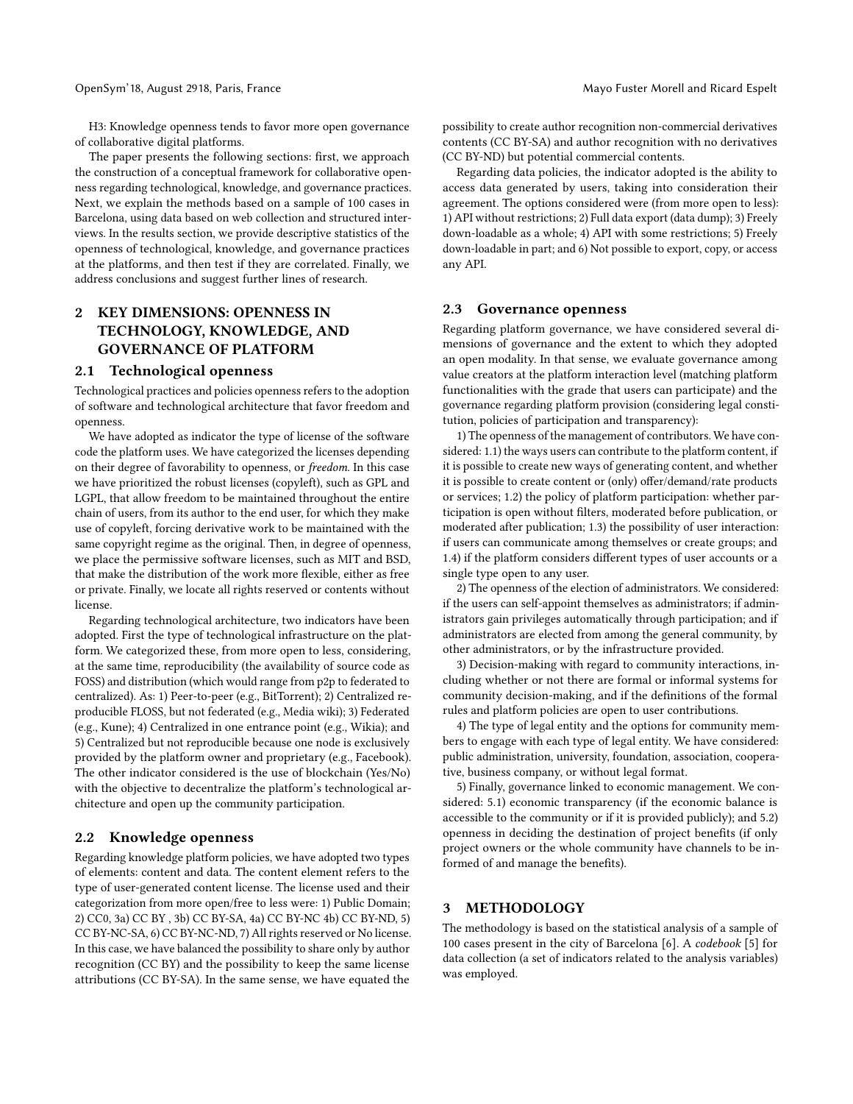H3: Knowledge openness tends to favor more open governance of collaborative digital platforms.

The paper presents the following sections: first, we approach the construction of a conceptual framework for collaborative openness regarding technological, knowledge, and governance practices. Next, we explain the methods based on a sample of 100 cases in Barcelona, using data based on web collection and structured interviews. In the results section, we provide descriptive statistics of the openness of technological, knowledge, and governance practices at the platforms, and then test if they are correlated. Finally, we address conclusions and suggest further lines of research.

# 2 KEY DIMENSIONS: OPENNESS IN TECHNOLOGY, KNOWLEDGE, AND GOVERNANCE OF PLATFORM

## 2.1 Technological openness

Technological practices and policies openness refers to the adoption of software and technological architecture that favor freedom and openness.

We have adopted as indicator the type of license of the software code the platform uses. We have categorized the licenses depending on their degree of favorability to openness, or freedom. In this case we have prioritized the robust licenses (copyleft), such as GPL and LGPL, that allow freedom to be maintained throughout the entire chain of users, from its author to the end user, for which they make use of copyleft, forcing derivative work to be maintained with the same copyright regime as the original. Then, in degree of openness, we place the permissive software licenses, such as MIT and BSD, that make the distribution of the work more flexible, either as free or private. Finally, we locate all rights reserved or contents without license.

Regarding technological architecture, two indicators have been adopted. First the type of technological infrastructure on the platform. We categorized these, from more open to less, considering, at the same time, reproducibility (the availability of source code as FOSS) and distribution (which would range from p2p to federated to centralized). As: 1) Peer-to-peer (e.g., BitTorrent); 2) Centralized reproducible FLOSS, but not federated (e.g., Media wiki); 3) Federated (e.g., Kune); 4) Centralized in one entrance point (e.g., Wikia); and 5) Centralized but not reproducible because one node is exclusively provided by the platform owner and proprietary (e.g., Facebook). The other indicator considered is the use of blockchain (Yes/No) with the objective to decentralize the platform's technological architecture and open up the community participation.

### 2.2 Knowledge openness

Regarding knowledge platform policies, we have adopted two types of elements: content and data. The content element refers to the type of user-generated content license. The license used and their categorization from more open/free to less were: 1) Public Domain; 2) CC0, 3a) CC BY , 3b) CC BY-SA, 4a) CC BY-NC 4b) CC BY-ND, 5) CC BY-NC-SA, 6) CC BY-NC-ND, 7) All rights reserved or No license. In this case, we have balanced the possibility to share only by author recognition (CC BY) and the possibility to keep the same license attributions (CC BY-SA). In the same sense, we have equated the

possibility to create author recognition non-commercial derivatives contents (CC BY-SA) and author recognition with no derivatives (CC BY-ND) but potential commercial contents.

Regarding data policies, the indicator adopted is the ability to access data generated by users, taking into consideration their agreement. The options considered were (from more open to less): 1) API without restrictions; 2) Full data export (data dump); 3) Freely down-loadable as a whole; 4) API with some restrictions; 5) Freely down-loadable in part; and 6) Not possible to export, copy, or access any API.

#### 2.3 Governance openness

Regarding platform governance, we have considered several dimensions of governance and the extent to which they adopted an open modality. In that sense, we evaluate governance among value creators at the platform interaction level (matching platform functionalities with the grade that users can participate) and the governance regarding platform provision (considering legal constitution, policies of participation and transparency):

1) The openness of the management of contributors. We have considered: 1.1) the ways users can contribute to the platform content, if it is possible to create new ways of generating content, and whether it is possible to create content or (only) offer/demand/rate products or services; 1.2) the policy of platform participation: whether participation is open without filters, moderated before publication, or moderated after publication; 1.3) the possibility of user interaction: if users can communicate among themselves or create groups; and 1.4) if the platform considers different types of user accounts or a single type open to any user.

2) The openness of the election of administrators. We considered: if the users can self-appoint themselves as administrators; if administrators gain privileges automatically through participation; and if administrators are elected from among the general community, by other administrators, or by the infrastructure provided.

3) Decision-making with regard to community interactions, including whether or not there are formal or informal systems for community decision-making, and if the definitions of the formal rules and platform policies are open to user contributions.

4) The type of legal entity and the options for community members to engage with each type of legal entity. We have considered: public administration, university, foundation, association, cooperative, business company, or without legal format.

5) Finally, governance linked to economic management. We considered: 5.1) economic transparency (if the economic balance is accessible to the community or if it is provided publicly); and 5.2) openness in deciding the destination of project benefits (if only project owners or the whole community have channels to be informed of and manage the benefits).

### 3 METHODOLOGY

The methodology is based on the statistical analysis of a sample of 100 cases present in the city of Barcelona [\[6\]](#page-4-4). A codebook [\[5\]](#page-4-5) for data collection (a set of indicators related to the analysis variables) was employed.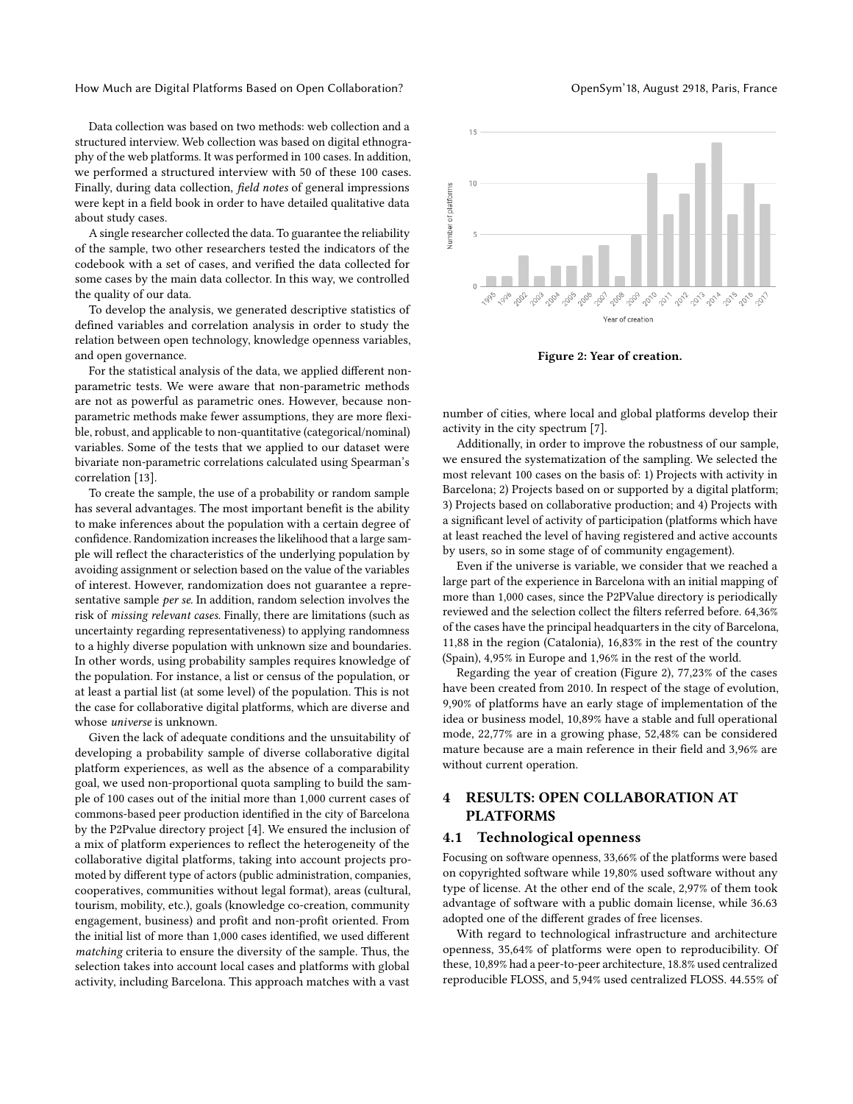How Much are Digital Platforms Based on Open Collaboration? Come Conservation CopenSym'18, August 2918, Paris, France

Data collection was based on two methods: web collection and a structured interview. Web collection was based on digital ethnography of the web platforms. It was performed in 100 cases. In addition, we performed a structured interview with 50 of these 100 cases. Finally, during data collection, field notes of general impressions were kept in a field book in order to have detailed qualitative data about study cases.

A single researcher collected the data. To guarantee the reliability of the sample, two other researchers tested the indicators of the codebook with a set of cases, and verified the data collected for some cases by the main data collector. In this way, we controlled the quality of our data.

To develop the analysis, we generated descriptive statistics of defined variables and correlation analysis in order to study the relation between open technology, knowledge openness variables, and open governance.

For the statistical analysis of the data, we applied different nonparametric tests. We were aware that non-parametric methods are not as powerful as parametric ones. However, because nonparametric methods make fewer assumptions, they are more flexible, robust, and applicable to non-quantitative (categorical/nominal) variables. Some of the tests that we applied to our dataset were bivariate non-parametric correlations calculated using Spearman's correlation [\[13\]](#page-4-6).

To create the sample, the use of a probability or random sample has several advantages. The most important benefit is the ability to make inferences about the population with a certain degree of confidence. Randomization increases the likelihood that a large sample will reflect the characteristics of the underlying population by avoiding assignment or selection based on the value of the variables of interest. However, randomization does not guarantee a representative sample per se. In addition, random selection involves the risk of missing relevant cases. Finally, there are limitations (such as uncertainty regarding representativeness) to applying randomness to a highly diverse population with unknown size and boundaries. In other words, using probability samples requires knowledge of the population. For instance, a list or census of the population, or at least a partial list (at some level) of the population. This is not the case for collaborative digital platforms, which are diverse and whose universe is unknown.

Given the lack of adequate conditions and the unsuitability of developing a probability sample of diverse collaborative digital platform experiences, as well as the absence of a comparability goal, we used non-proportional quota sampling to build the sample of 100 cases out of the initial more than 1,000 current cases of commons-based peer production identified in the city of Barcelona by the P2Pvalue directory project [\[4\]](#page-4-7). We ensured the inclusion of a mix of platform experiences to reflect the heterogeneity of the collaborative digital platforms, taking into account projects promoted by different type of actors (public administration, companies, cooperatives, communities without legal format), areas (cultural, tourism, mobility, etc.), goals (knowledge co-creation, community engagement, business) and profit and non-profit oriented. From the initial list of more than 1,000 cases identified, we used different matching criteria to ensure the diversity of the sample. Thus, the selection takes into account local cases and platforms with global activity, including Barcelona. This approach matches with a vast



Figure 2: Year of creation.

number of cities, where local and global platforms develop their activity in the city spectrum [\[7\]](#page-4-8).

Additionally, in order to improve the robustness of our sample, we ensured the systematization of the sampling. We selected the most relevant 100 cases on the basis of: 1) Projects with activity in Barcelona; 2) Projects based on or supported by a digital platform; 3) Projects based on collaborative production; and 4) Projects with a significant level of activity of participation (platforms which have at least reached the level of having registered and active accounts by users, so in some stage of of community engagement).

Even if the universe is variable, we consider that we reached a large part of the experience in Barcelona with an initial mapping of more than 1,000 cases, since the P2PValue directory is periodically reviewed and the selection collect the filters referred before. 64,36% of the cases have the principal headquarters in the city of Barcelona, 11,88 in the region (Catalonia), 16,83% in the rest of the country (Spain), 4,95% in Europe and 1,96% in the rest of the world.

Regarding the year of creation (Figure 2), 77,23% of the cases have been created from 2010. In respect of the stage of evolution, 9,90% of platforms have an early stage of implementation of the idea or business model, 10,89% have a stable and full operational mode, 22,77% are in a growing phase, 52,48% can be considered mature because are a main reference in their field and 3,96% are without current operation.

# 4 RESULTS: OPEN COLLABORATION AT PLATFORMS

### 4.1 Technological openness

Focusing on software openness, 33,66% of the platforms were based on copyrighted software while 19,80% used software without any type of license. At the other end of the scale, 2,97% of them took advantage of software with a public domain license, while 36.63 adopted one of the different grades of free licenses.

With regard to technological infrastructure and architecture openness, 35,64% of platforms were open to reproducibility. Of these, 10,89% had a peer-to-peer architecture, 18.8% used centralized reproducible FLOSS, and 5,94% used centralized FLOSS. 44.55% of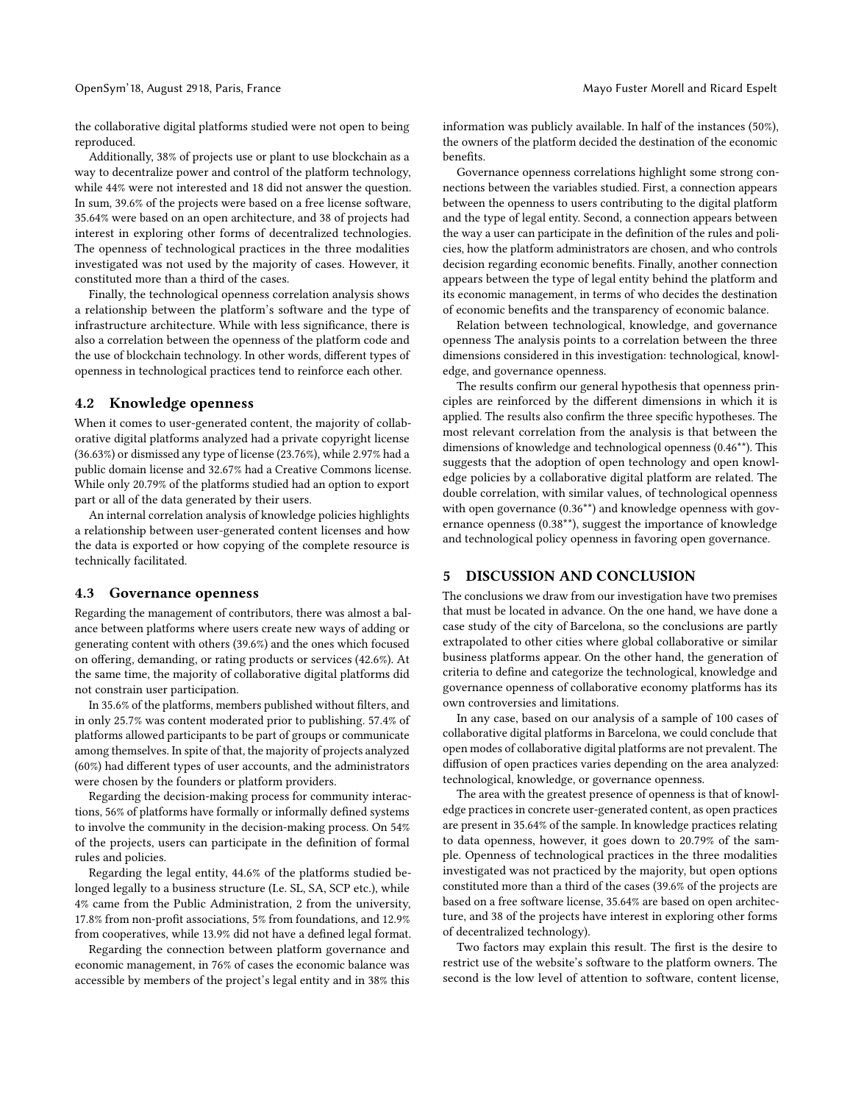OpenSym'18, August 2918, Paris, France Mayo Fuster Morell and Ricard Espelt

the collaborative digital platforms studied were not open to being reproduced.

Additionally, 38% of projects use or plant to use blockchain as a way to decentralize power and control of the platform technology, while 44% were not interested and 18 did not answer the question. In sum, 39.6% of the projects were based on a free license software, 35.64% were based on an open architecture, and 38 of projects had interest in exploring other forms of decentralized technologies. The openness of technological practices in the three modalities investigated was not used by the majority of cases. However, it constituted more than a third of the cases.

Finally, the technological openness correlation analysis shows a relationship between the platform's software and the type of infrastructure architecture. While with less significance, there is also a correlation between the openness of the platform code and the use of blockchain technology. In other words, different types of openness in technological practices tend to reinforce each other.

## 4.2 Knowledge openness

When it comes to user-generated content, the majority of collaborative digital platforms analyzed had a private copyright license (36.63%) or dismissed any type of license (23.76%), while 2.97% had a public domain license and 32.67% had a Creative Commons license. While only 20.79% of the platforms studied had an option to export part or all of the data generated by their users.

An internal correlation analysis of knowledge policies highlights a relationship between user-generated content licenses and how the data is exported or how copying of the complete resource is technically facilitated.

#### 4.3 Governance openness

Regarding the management of contributors, there was almost a balance between platforms where users create new ways of adding or generating content with others (39.6%) and the ones which focused on offering, demanding, or rating products or services (42.6%). At the same time, the majority of collaborative digital platforms did not constrain user participation.

In 35.6% of the platforms, members published without filters, and in only 25.7% was content moderated prior to publishing. 57.4% of platforms allowed participants to be part of groups or communicate among themselves. In spite of that, the majority of projects analyzed (60%) had different types of user accounts, and the administrators were chosen by the founders or platform providers.

Regarding the decision-making process for community interactions, 56% of platforms have formally or informally defined systems to involve the community in the decision-making process. On 54% of the projects, users can participate in the definition of formal rules and policies.

Regarding the legal entity, 44.6% of the platforms studied belonged legally to a business structure (I.e. SL, SA, SCP etc.), while 4% came from the Public Administration, 2 from the university, 17.8% from non-profit associations, 5% from foundations, and 12.9% from cooperatives, while 13.9% did not have a defined legal format.

Regarding the connection between platform governance and economic management, in 76% of cases the economic balance was accessible by members of the project's legal entity and in 38% this information was publicly available. In half of the instances (50%), the owners of the platform decided the destination of the economic benefits.

Governance openness correlations highlight some strong connections between the variables studied. First, a connection appears between the openness to users contributing to the digital platform and the type of legal entity. Second, a connection appears between the way a user can participate in the definition of the rules and policies, how the platform administrators are chosen, and who controls decision regarding economic benefits. Finally, another connection appears between the type of legal entity behind the platform and its economic management, in terms of who decides the destination of economic benefits and the transparency of economic balance.

Relation between technological, knowledge, and governance openness The analysis points to a correlation between the three dimensions considered in this investigation: technological, knowledge, and governance openness.

The results confirm our general hypothesis that openness principles are reinforced by the different dimensions in which it is applied. The results also confirm the three specific hypotheses. The most relevant correlation from the analysis is that between the dimensions of knowledge and technological openness (0.46\*\*). This suggests that the adoption of open technology and open knowledge policies by a collaborative digital platform are related. The double correlation, with similar values, of technological openness with open governance (0.36\*\*) and knowledge openness with governance openness (0.38\*\*), suggest the importance of knowledge and technological policy openness in favoring open governance.

## 5 DISCUSSION AND CONCLUSION

The conclusions we draw from our investigation have two premises that must be located in advance. On the one hand, we have done a case study of the city of Barcelona, so the conclusions are partly extrapolated to other cities where global collaborative or similar business platforms appear. On the other hand, the generation of criteria to define and categorize the technological, knowledge and governance openness of collaborative economy platforms has its own controversies and limitations.

In any case, based on our analysis of a sample of 100 cases of collaborative digital platforms in Barcelona, we could conclude that open modes of collaborative digital platforms are not prevalent. The diffusion of open practices varies depending on the area analyzed: technological, knowledge, or governance openness.

The area with the greatest presence of openness is that of knowledge practices in concrete user-generated content, as open practices are present in 35.64% of the sample. In knowledge practices relating to data openness, however, it goes down to 20.79% of the sample. Openness of technological practices in the three modalities investigated was not practiced by the majority, but open options constituted more than a third of the cases (39.6% of the projects are based on a free software license, 35.64% are based on open architecture, and 38 of the projects have interest in exploring other forms of decentralized technology).

Two factors may explain this result. The first is the desire to restrict use of the website's software to the platform owners. The second is the low level of attention to software, content license,